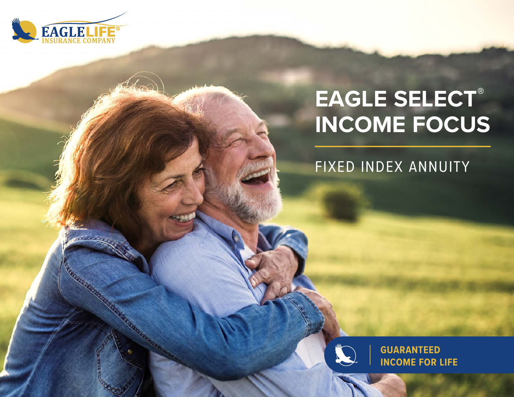

# **EAGLE SELECT ® INCOME FOCUS**

FIXED INDEX ANNUITY



**GUARANTEED INCOME FOR LIFE**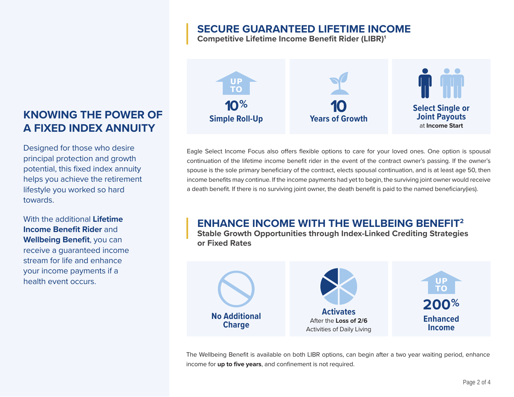## **SECURE GUARANTEED LIFETIME INCOME**

**Competitive Lifetime Income Benefit Rider (LIBR)1**



Eagle Select Income Focus also offers flexible options to care for your loved ones. One option is spousal continuation of the lifetime income benefit rider in the event of the contract owner's passing. If the owner's spouse is the sole primary beneficiary of the contract, elects spousal continuation, and is at least age 50, then income benefits may continue. If the income payments had yet to begin, the surviving joint owner would receive a death benefit. If there is no surviving joint owner, the death benefit is paid to the named beneficiary(ies).

## **ENHANCE INCOME WITH THE WELLBEING BENEFIT2**

**Stable Growth Opportunities through Index-Linked Crediting Strategies or Fixed Rates**



The Wellbeing Benefit is available on both LIBR options, can begin after a two year waiting period, enhance income for **up to five years**, and confinement is not required.

## **KNOWING THE POWER OF A FIXED INDEX ANNUITY**

Designed for those who desire principal protection and growth potential, this fixed index annuity helps you achieve the retirement lifestyle you worked so hard towards.

With the additional **Lifetime Income Benefit Rider** and **Wellbeing Benefit**, you can receive a guaranteed income stream for life and enhance your income payments if a health event occurs.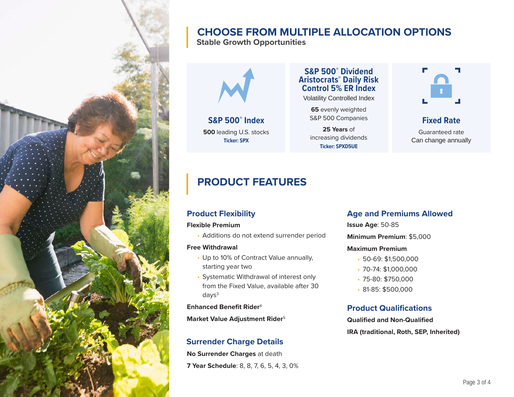

## **CHOOSE FROM MULTIPLE ALLOCATION OPTIONS**

**Stable Growth Opportunities**



**S&P 500® Index 500** leading U.S. stocks **Ticker: SPX**

**S&P 500® Dividend Aristocrats® Daily Risk Control 5% ER Index**

Volatility Controlled Index

**65** evenly weighted S&P 500 Companies

**25 Years** ofincreasing dividends **Ticker: SPXD5UE**



**Fixed Rate**

Guaranteed rateCan change annually

## **PRODUCT FEATURES**

#### **Flexible Premium**

• Additions do not extend surrender period

#### **Free Withdrawal**

- Up to 10% of Contract Value annually, starting year two
- Systematic Withdrawal of interest only from the Fixed Value, available after 30  $days<sup>3</sup>$

**Enhanced Benefit Rider**<sup>4</sup>

**Market Value Adjustment Rider**<sup>5</sup>

### **Surrender Charge Details**

**No Surrender Charges** at death **7 Year Schedule**: 8, 8, 7, 6, 5, 4, 3, 0%

#### **Product Flexibility Constraining Age and Premiums Allowed**

**Issue Age**: 50-85

**Minimum Premium**: \$5,000

#### **Maximum Premium**

- 50-69: \$1,500,000
- 70-74: \$1,000,000
- 75-80: \$750,000
- 81-85: \$500,000

### **Product Qualifications**

**Qualified and Non-QualifiedIRA (traditional, Roth, SEP, Inherited)**